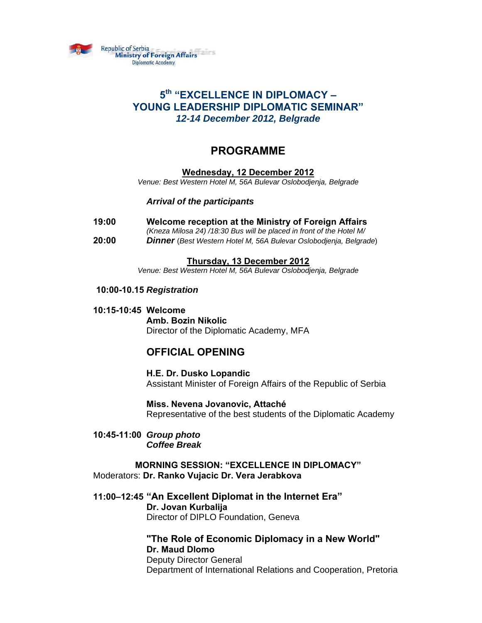

# **5th "EXCELLENCE IN DIPLOMACY – YOUNG LEADERSHIP DIPLOMATIC SEMINAR"** *12-14 December 2012, Belgrade*

# **PROGRAMME**

# **Wednesday, 12 December 2012**

*Venue: Best Western Hotel M, 56A Bulevar Oslobodjenja, Belgrade*

 *Arrival of the participants* 

- **19:00 Welcome reception at the Ministry of Foreign Affairs**
	- *(Kneza Milosa 24) /18:30 Bus will be placed in front of the Hotel M/*
- **20:00** *Dinner* (*Best Western Hotel M, 56A Bulevar Oslobodjenja, Belgrade*)

## **Thursday, 13 December 2012**

*Venue: Best Western Hotel M, 56A Bulevar Oslobodjenja, Belgrade* 

## **10:00-10.15** *Registration*

 **10:15-10:45 Welcome** 

# **Amb. Bozin Nikolic**  Director of the Diplomatic Academy, MFA

# **OFFICIAL OPENING**

**H.E. Dr. Dusko Lopandic**  Assistant Minister of Foreign Affairs of the Republic of Serbia

**Miss. Nevena Jovanovic, Attaché**  Representative of the best students of the Diplomatic Academy

**10:45-11:00** *Group photo Coffee Break* 

**MORNING SESSION: "EXCELLENCE IN DIPLOMACY"**  Moderators: **Dr. Ranko Vujacic Dr. Vera Jerabkova** 

**11:00–12:45 "An Excellent Diplomat in the Internet Era"**

 **Dr. Jovan Kurbalija**  Director of DIPLO Foundation, Geneva

**"The Role of Economic Diplomacy in a New World" Dr. Maud Dlomo**  Deputy Director General Department of International Relations and Cooperation, Pretoria